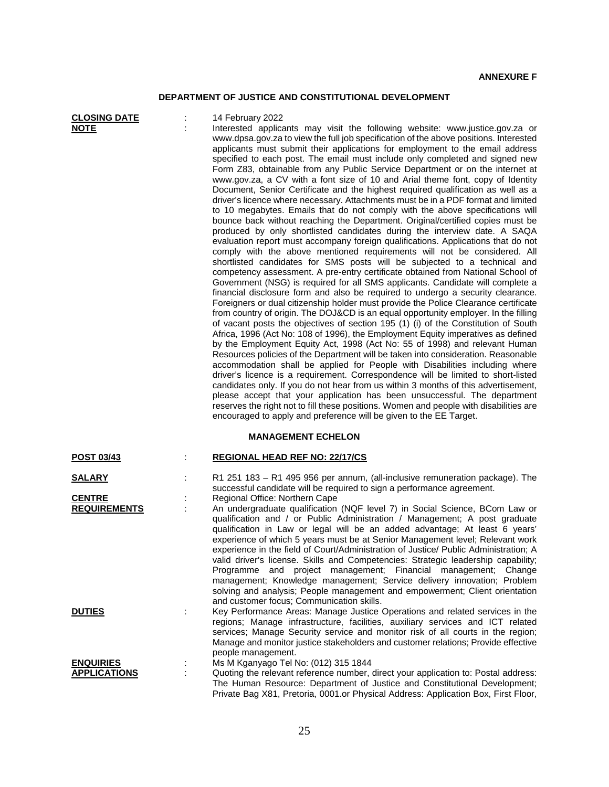## **DEPARTMENT OF JUSTICE AND CONSTITUTIONAL DEVELOPMENT**

| <b>CLOSING DATE</b><br><b>NOTE</b>   |   | 14 February 2022<br>Interested applicants may visit the following website: www.justice.gov.za or<br>www.dpsa.gov.za to view the full job specification of the above positions. Interested<br>applicants must submit their applications for employment to the email address<br>specified to each post. The email must include only completed and signed new<br>Form Z83, obtainable from any Public Service Department or on the internet at<br>www.gov.za, a CV with a font size of 10 and Arial theme font, copy of Identity<br>Document, Senior Certificate and the highest required qualification as well as a<br>driver's licence where necessary. Attachments must be in a PDF format and limited<br>to 10 megabytes. Emails that do not comply with the above specifications will<br>bounce back without reaching the Department. Original/certified copies must be<br>produced by only shortlisted candidates during the interview date. A SAQA<br>evaluation report must accompany foreign qualifications. Applications that do not<br>comply with the above mentioned requirements will not be considered. All<br>shortlisted candidates for SMS posts will be subjected to a technical and<br>competency assessment. A pre-entry certificate obtained from National School of<br>Government (NSG) is required for all SMS applicants. Candidate will complete a<br>financial disclosure form and also be required to undergo a security clearance.<br>Foreigners or dual citizenship holder must provide the Police Clearance certificate<br>from country of origin. The DOJ&CD is an equal opportunity employer. In the filling<br>of vacant posts the objectives of section 195 (1) (i) of the Constitution of South<br>Africa, 1996 (Act No: 108 of 1996), the Employment Equity imperatives as defined<br>by the Employment Equity Act, 1998 (Act No: 55 of 1998) and relevant Human<br>Resources policies of the Department will be taken into consideration. Reasonable<br>accommodation shall be applied for People with Disabilities including where<br>driver's licence is a requirement. Correspondence will be limited to short-listed<br>candidates only. If you do not hear from us within 3 months of this advertisement,<br>please accept that your application has been unsuccessful. The department<br>reserves the right not to fill these positions. Women and people with disabilities are<br>encouraged to apply and preference will be given to the EE Target. |
|--------------------------------------|---|------------------------------------------------------------------------------------------------------------------------------------------------------------------------------------------------------------------------------------------------------------------------------------------------------------------------------------------------------------------------------------------------------------------------------------------------------------------------------------------------------------------------------------------------------------------------------------------------------------------------------------------------------------------------------------------------------------------------------------------------------------------------------------------------------------------------------------------------------------------------------------------------------------------------------------------------------------------------------------------------------------------------------------------------------------------------------------------------------------------------------------------------------------------------------------------------------------------------------------------------------------------------------------------------------------------------------------------------------------------------------------------------------------------------------------------------------------------------------------------------------------------------------------------------------------------------------------------------------------------------------------------------------------------------------------------------------------------------------------------------------------------------------------------------------------------------------------------------------------------------------------------------------------------------------------------------------------------------------------------------------------------------------------------------------------------------------------------------------------------------------------------------------------------------------------------------------------------------------------------------------------------------------------------------------------------------------------------------------------------------------------------------------------------------------------------------------------------------------------------------|
| <b>POST 03/43</b>                    | ÷ | <b>MANAGEMENT ECHELON</b><br><b>REGIONAL HEAD REF NO: 22/17/CS</b>                                                                                                                                                                                                                                                                                                                                                                                                                                                                                                                                                                                                                                                                                                                                                                                                                                                                                                                                                                                                                                                                                                                                                                                                                                                                                                                                                                                                                                                                                                                                                                                                                                                                                                                                                                                                                                                                                                                                                                                                                                                                                                                                                                                                                                                                                                                                                                                                                             |
|                                      |   |                                                                                                                                                                                                                                                                                                                                                                                                                                                                                                                                                                                                                                                                                                                                                                                                                                                                                                                                                                                                                                                                                                                                                                                                                                                                                                                                                                                                                                                                                                                                                                                                                                                                                                                                                                                                                                                                                                                                                                                                                                                                                                                                                                                                                                                                                                                                                                                                                                                                                                |
| <b>SALARY</b>                        |   | R1 251 183 - R1 495 956 per annum, (all-inclusive remuneration package). The<br>successful candidate will be required to sign a performance agreement.                                                                                                                                                                                                                                                                                                                                                                                                                                                                                                                                                                                                                                                                                                                                                                                                                                                                                                                                                                                                                                                                                                                                                                                                                                                                                                                                                                                                                                                                                                                                                                                                                                                                                                                                                                                                                                                                                                                                                                                                                                                                                                                                                                                                                                                                                                                                         |
| <b>CENTRE</b><br><b>REQUIREMENTS</b> |   | Regional Office: Northern Cape<br>An undergraduate qualification (NQF level 7) in Social Science, BCom Law or<br>qualification and / or Public Administration / Management; A post graduate<br>qualification in Law or legal will be an added advantage; At least 6 years'<br>experience of which 5 years must be at Senior Management level; Relevant work<br>experience in the field of Court/Administration of Justice/ Public Administration; A<br>valid driver's license. Skills and Competencies: Strategic leadership capability;<br>Programme<br>and project management; Financial management; Change<br>management; Knowledge management; Service delivery innovation; Problem<br>solving and analysis; People management and empowerment; Client orientation<br>and customer focus; Communication skills.                                                                                                                                                                                                                                                                                                                                                                                                                                                                                                                                                                                                                                                                                                                                                                                                                                                                                                                                                                                                                                                                                                                                                                                                                                                                                                                                                                                                                                                                                                                                                                                                                                                                            |
| <b>DUTIES</b>                        |   | Key Performance Areas: Manage Justice Operations and related services in the<br>regions; Manage infrastructure, facilities, auxiliary services and ICT related<br>services; Manage Security service and monitor risk of all courts in the region;<br>Manage and monitor justice stakeholders and customer relations; Provide effective<br>people management.                                                                                                                                                                                                                                                                                                                                                                                                                                                                                                                                                                                                                                                                                                                                                                                                                                                                                                                                                                                                                                                                                                                                                                                                                                                                                                                                                                                                                                                                                                                                                                                                                                                                                                                                                                                                                                                                                                                                                                                                                                                                                                                                   |
| <b>ENQUIRIES</b>                     |   | Ms M Kganyago Tel No: (012) 315 1844                                                                                                                                                                                                                                                                                                                                                                                                                                                                                                                                                                                                                                                                                                                                                                                                                                                                                                                                                                                                                                                                                                                                                                                                                                                                                                                                                                                                                                                                                                                                                                                                                                                                                                                                                                                                                                                                                                                                                                                                                                                                                                                                                                                                                                                                                                                                                                                                                                                           |
| <b>APPLICATIONS</b>                  | ÷ | Quoting the relevant reference number, direct your application to: Postal address:<br>The Human Resource: Department of Justice and Constitutional Development;                                                                                                                                                                                                                                                                                                                                                                                                                                                                                                                                                                                                                                                                                                                                                                                                                                                                                                                                                                                                                                                                                                                                                                                                                                                                                                                                                                                                                                                                                                                                                                                                                                                                                                                                                                                                                                                                                                                                                                                                                                                                                                                                                                                                                                                                                                                                |

Private Bag X81, Pretoria, 0001.or Physical Address: Application Box, First Floor,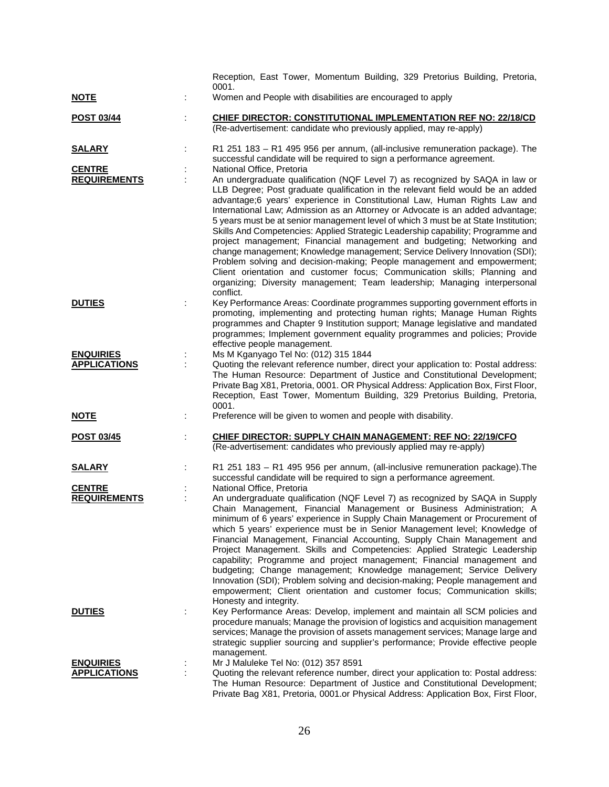|                     | Reception, East Tower, Momentum Building, 329 Pretorius Building, Pretoria,                                                                                                                                                                                                                                                                                                                                                                                                                                                                                                                                                                                                                                                                                                                                                                                                                                         |
|---------------------|---------------------------------------------------------------------------------------------------------------------------------------------------------------------------------------------------------------------------------------------------------------------------------------------------------------------------------------------------------------------------------------------------------------------------------------------------------------------------------------------------------------------------------------------------------------------------------------------------------------------------------------------------------------------------------------------------------------------------------------------------------------------------------------------------------------------------------------------------------------------------------------------------------------------|
| <u>NOTE</u>         | 0001.<br>Women and People with disabilities are encouraged to apply                                                                                                                                                                                                                                                                                                                                                                                                                                                                                                                                                                                                                                                                                                                                                                                                                                                 |
| POST 03/44          | <b>CHIEF DIRECTOR: CONSTITUTIONAL IMPLEMENTATION REF NO: 22/18/CD</b><br>(Re-advertisement: candidate who previously applied, may re-apply)                                                                                                                                                                                                                                                                                                                                                                                                                                                                                                                                                                                                                                                                                                                                                                         |
| <b>SALARY</b>       | R1 251 183 - R1 495 956 per annum, (all-inclusive remuneration package). The<br>successful candidate will be required to sign a performance agreement.                                                                                                                                                                                                                                                                                                                                                                                                                                                                                                                                                                                                                                                                                                                                                              |
| <b>CENTRE</b>       | National Office, Pretoria                                                                                                                                                                                                                                                                                                                                                                                                                                                                                                                                                                                                                                                                                                                                                                                                                                                                                           |
| <b>REQUIREMENTS</b> | An undergraduate qualification (NQF Level 7) as recognized by SAQA in law or<br>LLB Degree; Post graduate qualification in the relevant field would be an added<br>advantage;6 years' experience in Constitutional Law, Human Rights Law and<br>International Law; Admission as an Attorney or Advocate is an added advantage;<br>5 years must be at senior management level of which 3 must be at State Institution;<br>Skills And Competencies: Applied Strategic Leadership capability; Programme and<br>project management; Financial management and budgeting; Networking and<br>change management; Knowledge management; Service Delivery Innovation (SDI);<br>Problem solving and decision-making; People management and empowerment;<br>Client orientation and customer focus; Communication skills; Planning and<br>organizing; Diversity management; Team leadership; Managing interpersonal<br>conflict. |
| <b>DUTIES</b>       | Key Performance Areas: Coordinate programmes supporting government efforts in<br>promoting, implementing and protecting human rights; Manage Human Rights<br>programmes and Chapter 9 Institution support; Manage legislative and mandated<br>programmes; Implement government equality programmes and policies; Provide<br>effective people management.                                                                                                                                                                                                                                                                                                                                                                                                                                                                                                                                                            |
| <b>ENQUIRIES</b>    | Ms M Kganyago Tel No: (012) 315 1844                                                                                                                                                                                                                                                                                                                                                                                                                                                                                                                                                                                                                                                                                                                                                                                                                                                                                |
| <b>APPLICATIONS</b> | Quoting the relevant reference number, direct your application to: Postal address:<br>The Human Resource: Department of Justice and Constitutional Development;<br>Private Bag X81, Pretoria, 0001. OR Physical Address: Application Box, First Floor,<br>Reception, East Tower, Momentum Building, 329 Pretorius Building, Pretoria,<br>0001.                                                                                                                                                                                                                                                                                                                                                                                                                                                                                                                                                                      |
| <b>NOTE</b>         | Preference will be given to women and people with disability.                                                                                                                                                                                                                                                                                                                                                                                                                                                                                                                                                                                                                                                                                                                                                                                                                                                       |
| POST 03/45          | CHIEF DIRECTOR: SUPPLY CHAIN MANAGEMENT: REF NO: 22/19/CFO<br>(Re-advertisement: candidates who previously applied may re-apply)                                                                                                                                                                                                                                                                                                                                                                                                                                                                                                                                                                                                                                                                                                                                                                                    |
| <b>SALARY</b>       | R1 251 183 - R1 495 956 per annum, (all-inclusive remuneration package). The<br>successful candidate will be required to sign a performance agreement.                                                                                                                                                                                                                                                                                                                                                                                                                                                                                                                                                                                                                                                                                                                                                              |
| <b>CENTRE</b>       | National Office, Pretoria                                                                                                                                                                                                                                                                                                                                                                                                                                                                                                                                                                                                                                                                                                                                                                                                                                                                                           |
| <b>REQUIREMENTS</b> | An undergraduate qualification (NQF Level 7) as recognized by SAQA in Supply<br>Chain Management, Financial Management or Business Administration; A<br>minimum of 6 years' experience in Supply Chain Management or Procurement of<br>which 5 years' experience must be in Senior Management level; Knowledge of<br>Financial Management, Financial Accounting, Supply Chain Management and<br>Project Management. Skills and Competencies: Applied Strategic Leadership<br>capability; Programme and project management; Financial management and<br>budgeting; Change management; Knowledge management; Service Delivery<br>Innovation (SDI); Problem solving and decision-making; People management and<br>empowerment; Client orientation and customer focus; Communication skills;<br>Honesty and integrity.                                                                                                  |
| <b>DUTIES</b>       | Key Performance Areas: Develop, implement and maintain all SCM policies and<br>procedure manuals; Manage the provision of logistics and acquisition management<br>services; Manage the provision of assets management services; Manage large and<br>strategic supplier sourcing and supplier's performance; Provide effective people<br>management.                                                                                                                                                                                                                                                                                                                                                                                                                                                                                                                                                                 |
| <b>ENQUIRIES</b>    | Mr J Maluleke Tel No: (012) 357 8591                                                                                                                                                                                                                                                                                                                                                                                                                                                                                                                                                                                                                                                                                                                                                                                                                                                                                |
| <b>APPLICATIONS</b> | Quoting the relevant reference number, direct your application to: Postal address:<br>The Human Resource: Department of Justice and Constitutional Development;<br>Private Bag X81, Pretoria, 0001.or Physical Address: Application Box, First Floor,                                                                                                                                                                                                                                                                                                                                                                                                                                                                                                                                                                                                                                                               |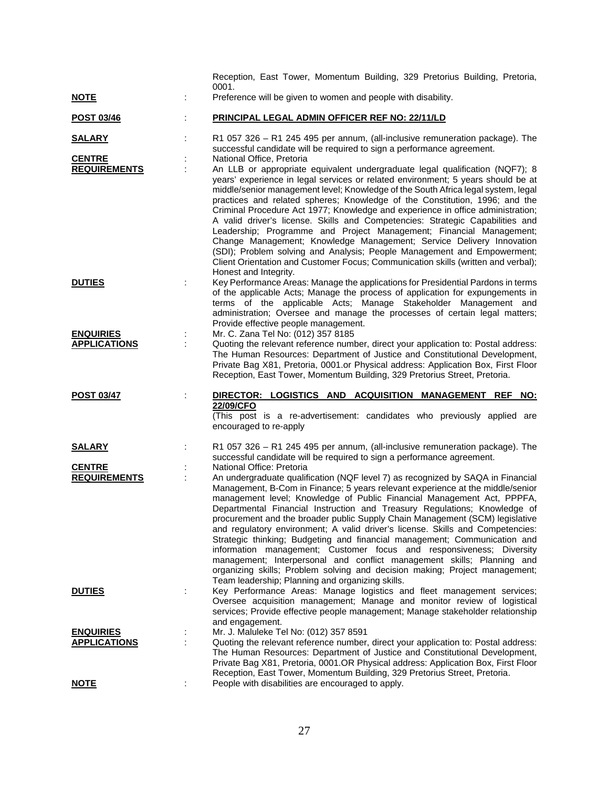|                     |   | Reception, East Tower, Momentum Building, 329 Pretorius Building, Pretoria,                                                                                                                                                                                                                                                                                                                                                                                                                                                                                                                                                                                                                                                                                                                                                                      |
|---------------------|---|--------------------------------------------------------------------------------------------------------------------------------------------------------------------------------------------------------------------------------------------------------------------------------------------------------------------------------------------------------------------------------------------------------------------------------------------------------------------------------------------------------------------------------------------------------------------------------------------------------------------------------------------------------------------------------------------------------------------------------------------------------------------------------------------------------------------------------------------------|
| <u>NOTE</u>         |   | 0001.<br>Preference will be given to women and people with disability.                                                                                                                                                                                                                                                                                                                                                                                                                                                                                                                                                                                                                                                                                                                                                                           |
| <b>POST 03/46</b>   |   | PRINCIPAL LEGAL ADMIN OFFICER REF NO: 22/11/LD                                                                                                                                                                                                                                                                                                                                                                                                                                                                                                                                                                                                                                                                                                                                                                                                   |
| <b>SALARY</b>       |   | R1 057 326 - R1 245 495 per annum, (all-inclusive remuneration package). The<br>successful candidate will be required to sign a performance agreement.                                                                                                                                                                                                                                                                                                                                                                                                                                                                                                                                                                                                                                                                                           |
| <b>CENTRE</b>       |   | National Office, Pretoria                                                                                                                                                                                                                                                                                                                                                                                                                                                                                                                                                                                                                                                                                                                                                                                                                        |
| <b>REQUIREMENTS</b> |   | An LLB or appropriate equivalent undergraduate legal qualification (NQF7); 8<br>years' experience in legal services or related environment; 5 years should be at<br>middle/senior management level; Knowledge of the South Africa legal system, legal<br>practices and related spheres; Knowledge of the Constitution, 1996; and the<br>Criminal Procedure Act 1977; Knowledge and experience in office administration;<br>A valid driver's license. Skills and Competencies: Strategic Capabilities and<br>Leadership; Programme and Project Management; Financial Management;<br>Change Management; Knowledge Management; Service Delivery Innovation<br>(SDI); Problem solving and Analysis; People Management and Empowerment;<br>Client Orientation and Customer Focus; Communication skills (written and verbal);<br>Honest and Integrity. |
| <b>DUTIES</b>       |   | Key Performance Areas: Manage the applications for Presidential Pardons in terms<br>of the applicable Acts; Manage the process of application for expungements in<br>terms of the applicable Acts; Manage Stakeholder Management and<br>administration; Oversee and manage the processes of certain legal matters;<br>Provide effective people management.                                                                                                                                                                                                                                                                                                                                                                                                                                                                                       |
| <b>ENQUIRIES</b>    |   | Mr. C. Zana Tel No: (012) 357 8185                                                                                                                                                                                                                                                                                                                                                                                                                                                                                                                                                                                                                                                                                                                                                                                                               |
| <b>APPLICATIONS</b> |   | Quoting the relevant reference number, direct your application to: Postal address:<br>The Human Resources: Department of Justice and Constitutional Development,<br>Private Bag X81, Pretoria, 0001.or Physical address: Application Box, First Floor                                                                                                                                                                                                                                                                                                                                                                                                                                                                                                                                                                                            |
|                     |   | Reception, East Tower, Momentum Building, 329 Pretorius Street, Pretoria.                                                                                                                                                                                                                                                                                                                                                                                                                                                                                                                                                                                                                                                                                                                                                                        |
|                     |   |                                                                                                                                                                                                                                                                                                                                                                                                                                                                                                                                                                                                                                                                                                                                                                                                                                                  |
| <b>POST 03/47</b>   |   | DIRECTOR: LOGISTICS AND ACQUISITION MANAGEMENT REF NO:<br>22/09/CFO<br>(This post is a re-advertisement: candidates who previously applied are<br>encouraged to re-apply                                                                                                                                                                                                                                                                                                                                                                                                                                                                                                                                                                                                                                                                         |
| <b>SALARY</b>       |   | R1 057 326 - R1 245 495 per annum, (all-inclusive remuneration package). The                                                                                                                                                                                                                                                                                                                                                                                                                                                                                                                                                                                                                                                                                                                                                                     |
| <b>CENTRE</b>       |   | successful candidate will be required to sign a performance agreement.<br>National Office: Pretoria                                                                                                                                                                                                                                                                                                                                                                                                                                                                                                                                                                                                                                                                                                                                              |
| <b>REQUIREMENTS</b> |   | An undergraduate qualification (NQF level 7) as recognized by SAQA in Financial<br>Management, B-Com in Finance; 5 years relevant experience at the middle/senior<br>management level; Knowledge of Public Financial Management Act, PPPFA,<br>Departmental Financial Instruction and Treasury Regulations; Knowledge of<br>procurement and the broader public Supply Chain Management (SCM) legislative<br>and regulatory environment; A valid driver's license. Skills and Competencies:<br>Strategic thinking; Budgeting and financial management; Communication and<br>information management; Customer focus and responsiveness; Diversity<br>management; Interpersonal and conflict management skills; Planning and<br>organizing skills; Problem solving and decision making; Project management;                                         |
| <b>DUTIES</b>       |   | Team leadership; Planning and organizing skills.<br>Key Performance Areas: Manage logistics and fleet management services;<br>Oversee acquisition management; Manage and monitor review of logistical<br>services; Provide effective people management; Manage stakeholder relationship                                                                                                                                                                                                                                                                                                                                                                                                                                                                                                                                                          |
| <b>ENQUIRIES</b>    | ÷ | and engagement.<br>Mr. J. Maluleke Tel No: (012) 357 8591                                                                                                                                                                                                                                                                                                                                                                                                                                                                                                                                                                                                                                                                                                                                                                                        |
| <b>APPLICATIONS</b> | ÷ | Quoting the relevant reference number, direct your application to: Postal address:<br>The Human Resources: Department of Justice and Constitutional Development,<br>Private Bag X81, Pretoria, 0001.OR Physical address: Application Box, First Floor<br>Reception, East Tower, Momentum Building, 329 Pretorius Street, Pretoria.                                                                                                                                                                                                                                                                                                                                                                                                                                                                                                               |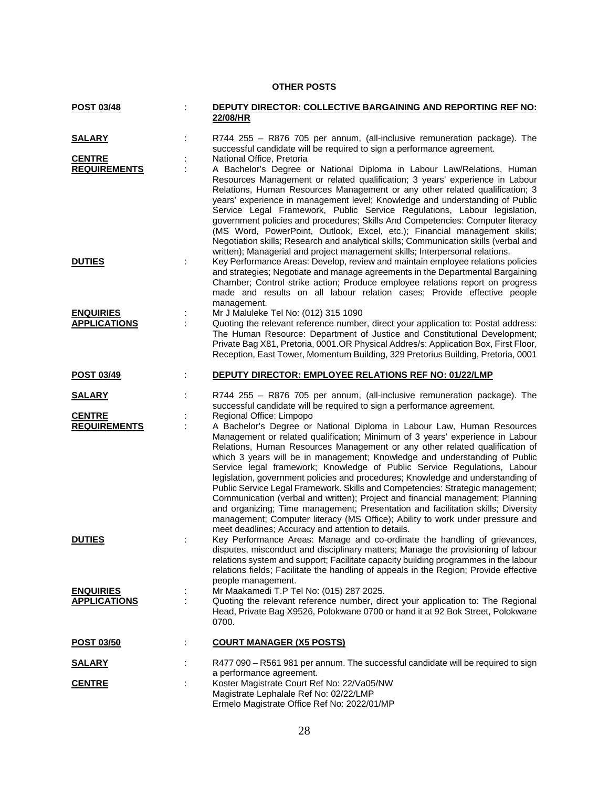## **OTHER POSTS**

| POST 03/48                              | <b>DEPUTY DIRECTOR: COLLECTIVE BARGAINING AND REPORTING REF NO:</b><br>22/08/HR                                                                                                                                                                                                                                                                                                                                                                                                                                                                                                                                                                                                                                                                                                                                                                                                                                |
|-----------------------------------------|----------------------------------------------------------------------------------------------------------------------------------------------------------------------------------------------------------------------------------------------------------------------------------------------------------------------------------------------------------------------------------------------------------------------------------------------------------------------------------------------------------------------------------------------------------------------------------------------------------------------------------------------------------------------------------------------------------------------------------------------------------------------------------------------------------------------------------------------------------------------------------------------------------------|
|                                         |                                                                                                                                                                                                                                                                                                                                                                                                                                                                                                                                                                                                                                                                                                                                                                                                                                                                                                                |
| <u>SALARY</u>                           | R744 255 - R876 705 per annum, (all-inclusive remuneration package). The<br>successful candidate will be required to sign a performance agreement.                                                                                                                                                                                                                                                                                                                                                                                                                                                                                                                                                                                                                                                                                                                                                             |
| <b>CENTRE</b><br><b>REQUIREMENTS</b>    | National Office, Pretoria<br>A Bachelor's Degree or National Diploma in Labour Law/Relations, Human<br>Resources Management or related qualification; 3 years' experience in Labour<br>Relations, Human Resources Management or any other related qualification; 3<br>years' experience in management level; Knowledge and understanding of Public<br>Service Legal Framework, Public Service Regulations, Labour legislation,<br>government policies and procedures; Skills And Competencies: Computer literacy<br>(MS Word, PowerPoint, Outlook, Excel, etc.); Financial management skills;<br>Negotiation skills; Research and analytical skills; Communication skills (verbal and<br>written); Managerial and project management skills; Interpersonal relations.                                                                                                                                          |
| <b>DUTIES</b>                           | Key Performance Areas: Develop, review and maintain employee relations policies<br>and strategies; Negotiate and manage agreements in the Departmental Bargaining<br>Chamber; Control strike action; Produce employee relations report on progress<br>made and results on all labour relation cases; Provide effective people<br>management.                                                                                                                                                                                                                                                                                                                                                                                                                                                                                                                                                                   |
| <b>ENQUIRIES</b>                        | Mr J Maluleke Tel No: (012) 315 1090                                                                                                                                                                                                                                                                                                                                                                                                                                                                                                                                                                                                                                                                                                                                                                                                                                                                           |
| <b>APPLICATIONS</b>                     | Quoting the relevant reference number, direct your application to: Postal address:<br>The Human Resource: Department of Justice and Constitutional Development;<br>Private Bag X81, Pretoria, 0001.OR Physical Addres/s: Application Box, First Floor,<br>Reception, East Tower, Momentum Building, 329 Pretorius Building, Pretoria, 0001                                                                                                                                                                                                                                                                                                                                                                                                                                                                                                                                                                     |
| <b>POST 03/49</b>                       | DEPUTY DIRECTOR: EMPLOYEE RELATIONS REF NO: 01/22/LMP                                                                                                                                                                                                                                                                                                                                                                                                                                                                                                                                                                                                                                                                                                                                                                                                                                                          |
| <b>SALARY</b>                           | R744 255 - R876 705 per annum, (all-inclusive remuneration package). The<br>successful candidate will be required to sign a performance agreement.                                                                                                                                                                                                                                                                                                                                                                                                                                                                                                                                                                                                                                                                                                                                                             |
| <b>CENTRE</b><br><b>REQUIREMENTS</b>    | Regional Office: Limpopo<br>A Bachelor's Degree or National Diploma in Labour Law, Human Resources<br>Management or related qualification; Minimum of 3 years' experience in Labour<br>Relations, Human Resources Management or any other related qualification of<br>which 3 years will be in management; Knowledge and understanding of Public<br>Service legal framework; Knowledge of Public Service Regulations, Labour<br>legislation, government policies and procedures; Knowledge and understanding of<br>Public Service Legal Framework. Skills and Competencies: Strategic management;<br>Communication (verbal and written); Project and financial management; Planning<br>and organizing; Time management; Presentation and facilitation skills; Diversity<br>management; Computer literacy (MS Office); Ability to work under pressure and<br>meet deadlines; Accuracy and attention to details. |
| <b>DUTIES</b>                           | Key Performance Areas: Manage and co-ordinate the handling of grievances,<br>disputes, misconduct and disciplinary matters; Manage the provisioning of labour<br>relations system and support; Facilitate capacity building programmes in the labour<br>relations fields; Facilitate the handling of appeals in the Region; Provide effective<br>people management.                                                                                                                                                                                                                                                                                                                                                                                                                                                                                                                                            |
| <b>ENQUIRIES</b><br><b>APPLICATIONS</b> | Mr Maakamedi T.P Tel No: (015) 287 2025.<br>Quoting the relevant reference number, direct your application to: The Regional<br>Head, Private Bag X9526, Polokwane 0700 or hand it at 92 Bok Street, Polokwane<br>0700.                                                                                                                                                                                                                                                                                                                                                                                                                                                                                                                                                                                                                                                                                         |
| <b>POST 03/50</b>                       | <b>COURT MANAGER (X5 POSTS)</b>                                                                                                                                                                                                                                                                                                                                                                                                                                                                                                                                                                                                                                                                                                                                                                                                                                                                                |
| <b>SALARY</b>                           | R477 090 - R561 981 per annum. The successful candidate will be required to sign<br>a performance agreement.                                                                                                                                                                                                                                                                                                                                                                                                                                                                                                                                                                                                                                                                                                                                                                                                   |
| <b>CENTRE</b>                           | Koster Magistrate Court Ref No: 22/Va05/NW<br>Magistrate Lephalale Ref No: 02/22/LMP<br>Ermelo Magistrate Office Ref No: 2022/01/MP                                                                                                                                                                                                                                                                                                                                                                                                                                                                                                                                                                                                                                                                                                                                                                            |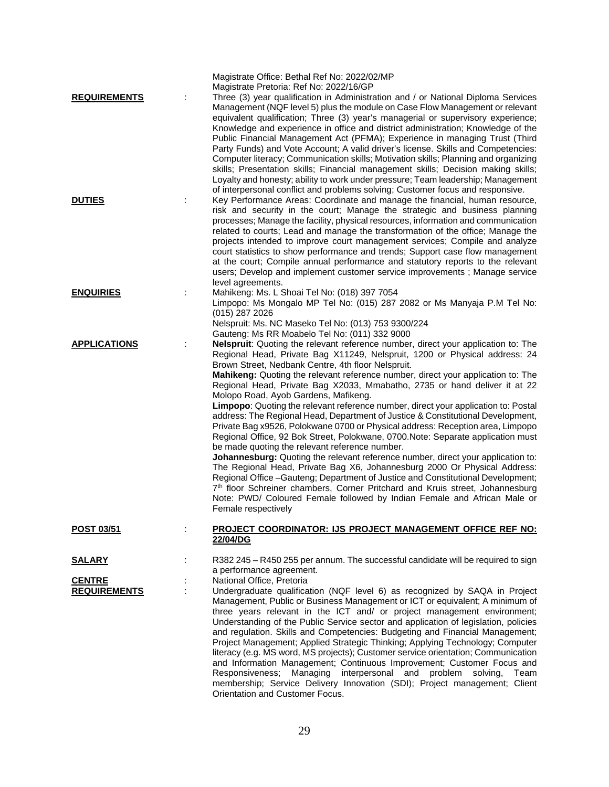| <b>REQUIREMENTS</b> | Magistrate Office: Bethal Ref No: 2022/02/MP<br>Magistrate Pretoria: Ref No: 2022/16/GP<br>Three (3) year qualification in Administration and / or National Diploma Services<br>Management (NQF level 5) plus the module on Case Flow Management or relevant<br>equivalent qualification; Three (3) year's managerial or supervisory experience;<br>Knowledge and experience in office and district administration; Knowledge of the<br>Public Financial Management Act (PFMA); Experience in managing Trust (Third<br>Party Funds) and Vote Account; A valid driver's license. Skills and Competencies:<br>Computer literacy; Communication skills; Motivation skills; Planning and organizing<br>skills; Presentation skills; Financial management skills; Decision making skills;<br>Loyalty and honesty; ability to work under pressure; Team leadership; Management                                                                                                                                                                                                                                                                                                                                                                                               |
|---------------------|------------------------------------------------------------------------------------------------------------------------------------------------------------------------------------------------------------------------------------------------------------------------------------------------------------------------------------------------------------------------------------------------------------------------------------------------------------------------------------------------------------------------------------------------------------------------------------------------------------------------------------------------------------------------------------------------------------------------------------------------------------------------------------------------------------------------------------------------------------------------------------------------------------------------------------------------------------------------------------------------------------------------------------------------------------------------------------------------------------------------------------------------------------------------------------------------------------------------------------------------------------------------|
| <b>DUTIES</b>       | of interpersonal conflict and problems solving; Customer focus and responsive.<br>Key Performance Areas: Coordinate and manage the financial, human resource,<br>risk and security in the court; Manage the strategic and business planning<br>processes; Manage the facility, physical resources, information and communication<br>related to courts; Lead and manage the transformation of the office; Manage the<br>projects intended to improve court management services; Compile and analyze<br>court statistics to show performance and trends; Support case flow management<br>at the court; Compile annual performance and statutory reports to the relevant<br>users; Develop and implement customer service improvements ; Manage service<br>level agreements.                                                                                                                                                                                                                                                                                                                                                                                                                                                                                              |
| <b>ENQUIRIES</b>    | Mahikeng: Ms. L Shoai Tel No: (018) 397 7054<br>Limpopo: Ms Mongalo MP Tel No: (015) 287 2082 or Ms Manyaja P.M Tel No:<br>(015) 287 2026<br>Nelspruit: Ms. NC Maseko Tel No: (013) 753 9300/224<br>Gauteng: Ms RR Moabelo Tel No: (011) 332 9000                                                                                                                                                                                                                                                                                                                                                                                                                                                                                                                                                                                                                                                                                                                                                                                                                                                                                                                                                                                                                      |
| <b>APPLICATIONS</b> | Nelspruit: Quoting the relevant reference number, direct your application to: The<br>Regional Head, Private Bag X11249, Nelspruit, 1200 or Physical address: 24<br>Brown Street, Nedbank Centre, 4th floor Nelspruit.<br>Mahikeng: Quoting the relevant reference number, direct your application to: The<br>Regional Head, Private Bag X2033, Mmabatho, 2735 or hand deliver it at 22<br>Molopo Road, Ayob Gardens, Mafikeng.<br>Limpopo: Quoting the relevant reference number, direct your application to: Postal<br>address: The Regional Head, Department of Justice & Constitutional Development,<br>Private Bag x9526, Polokwane 0700 or Physical address: Reception area, Limpopo<br>Regional Office, 92 Bok Street, Polokwane, 0700.Note: Separate application must<br>be made quoting the relevant reference number.<br>Johannesburg: Quoting the relevant reference number, direct your application to:<br>The Regional Head, Private Bag X6, Johannesburg 2000 Or Physical Address:<br>Regional Office -Gauteng; Department of Justice and Constitutional Development;<br>7th floor Schreiner chambers, Corner Pritchard and Kruis street, Johannesburg<br>Note: PWD/ Coloured Female followed by Indian Female and African Male or<br>Female respectively |
| POST 03/51          | <b>PROJECT COORDINATOR: IJS PROJECT MANAGEMENT OFFICE REF NO:</b><br>22/04/DG                                                                                                                                                                                                                                                                                                                                                                                                                                                                                                                                                                                                                                                                                                                                                                                                                                                                                                                                                                                                                                                                                                                                                                                          |
| <b>SALARY</b>       | R382 245 - R450 255 per annum. The successful candidate will be required to sign                                                                                                                                                                                                                                                                                                                                                                                                                                                                                                                                                                                                                                                                                                                                                                                                                                                                                                                                                                                                                                                                                                                                                                                       |
|                     | a performance agreement.                                                                                                                                                                                                                                                                                                                                                                                                                                                                                                                                                                                                                                                                                                                                                                                                                                                                                                                                                                                                                                                                                                                                                                                                                                               |
| <b>CENTRE</b>       | National Office, Pretoria                                                                                                                                                                                                                                                                                                                                                                                                                                                                                                                                                                                                                                                                                                                                                                                                                                                                                                                                                                                                                                                                                                                                                                                                                                              |
| <b>REQUIREMENTS</b> | Undergraduate qualification (NQF level 6) as recognized by SAQA in Project<br>Management, Public or Business Management or ICT or equivalent; A minimum of<br>three years relevant in the ICT and/ or project management environment;<br>Understanding of the Public Service sector and application of legislation, policies<br>and regulation. Skills and Competencies: Budgeting and Financial Management;<br>Project Management; Applied Strategic Thinking; Applying Technology; Computer<br>literacy (e.g. MS word, MS projects); Customer service orientation; Communication<br>and Information Management; Continuous Improvement; Customer Focus and<br>Responsiveness; Managing interpersonal and problem solving,<br>Team<br>membership; Service Delivery Innovation (SDI); Project management; Client<br>Orientation and Customer Focus.                                                                                                                                                                                                                                                                                                                                                                                                                    |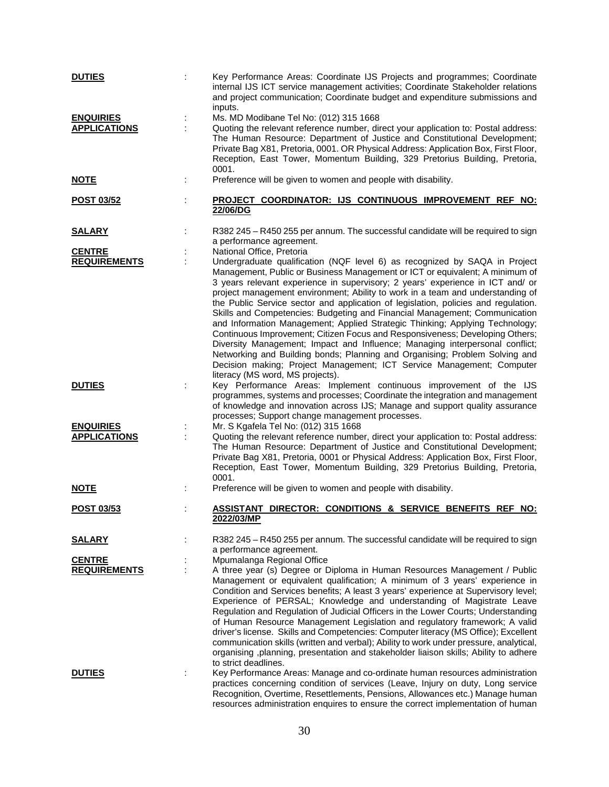| <b>DUTIES</b>       | Key Performance Areas: Coordinate IJS Projects and programmes; Coordinate<br>internal IJS ICT service management activities; Coordinate Stakeholder relations<br>and project communication; Coordinate budget and expenditure submissions and                                                                                                                                                                                                                                                                                                                                                                                                                                                                                                                                                                                                                                                                                                  |
|---------------------|------------------------------------------------------------------------------------------------------------------------------------------------------------------------------------------------------------------------------------------------------------------------------------------------------------------------------------------------------------------------------------------------------------------------------------------------------------------------------------------------------------------------------------------------------------------------------------------------------------------------------------------------------------------------------------------------------------------------------------------------------------------------------------------------------------------------------------------------------------------------------------------------------------------------------------------------|
| <b>ENQUIRIES</b>    | inputs.<br>Ms. MD Modibane Tel No: (012) 315 1668                                                                                                                                                                                                                                                                                                                                                                                                                                                                                                                                                                                                                                                                                                                                                                                                                                                                                              |
| <b>APPLICATIONS</b> | Quoting the relevant reference number, direct your application to: Postal address:<br>The Human Resource: Department of Justice and Constitutional Development;<br>Private Bag X81, Pretoria, 0001. OR Physical Address: Application Box, First Floor,<br>Reception, East Tower, Momentum Building, 329 Pretorius Building, Pretoria,<br>0001.                                                                                                                                                                                                                                                                                                                                                                                                                                                                                                                                                                                                 |
| <b>NOTE</b>         | Preference will be given to women and people with disability.                                                                                                                                                                                                                                                                                                                                                                                                                                                                                                                                                                                                                                                                                                                                                                                                                                                                                  |
| <b>POST 03/52</b>   | PROJECT COORDINATOR: IJS CONTINUOUS IMPROVEMENT REF NO:<br>22/06/DG                                                                                                                                                                                                                                                                                                                                                                                                                                                                                                                                                                                                                                                                                                                                                                                                                                                                            |
| <b>SALARY</b>       | R382 245 - R450 255 per annum. The successful candidate will be required to sign<br>a performance agreement.                                                                                                                                                                                                                                                                                                                                                                                                                                                                                                                                                                                                                                                                                                                                                                                                                                   |
| <b>CENTRE</b>       | National Office, Pretoria                                                                                                                                                                                                                                                                                                                                                                                                                                                                                                                                                                                                                                                                                                                                                                                                                                                                                                                      |
| <b>REQUIREMENTS</b> | Undergraduate qualification (NQF level 6) as recognized by SAQA in Project<br>Management, Public or Business Management or ICT or equivalent; A minimum of<br>3 years relevant experience in supervisory; 2 years' experience in ICT and/ or<br>project management environment; Ability to work in a team and understanding of<br>the Public Service sector and application of legislation, policies and regulation.<br>Skills and Competencies: Budgeting and Financial Management; Communication<br>and Information Management; Applied Strategic Thinking; Applying Technology;<br>Continuous Improvement; Citizen Focus and Responsiveness; Developing Others;<br>Diversity Management; Impact and Influence; Managing interpersonal conflict;<br>Networking and Building bonds; Planning and Organising; Problem Solving and<br>Decision making; Project Management; ICT Service Management; Computer<br>literacy (MS word, MS projects). |
| <b>DUTIES</b>       | Key Performance Areas: Implement continuous improvement of the IJS<br>programmes, systems and processes; Coordinate the integration and management<br>of knowledge and innovation across IJS; Manage and support quality assurance<br>processes; Support change management processes.                                                                                                                                                                                                                                                                                                                                                                                                                                                                                                                                                                                                                                                          |
| <b>ENQUIRIES</b>    | Mr. S Kgafela Tel No: (012) 315 1668                                                                                                                                                                                                                                                                                                                                                                                                                                                                                                                                                                                                                                                                                                                                                                                                                                                                                                           |
| <b>APPLICATIONS</b> | Quoting the relevant reference number, direct your application to: Postal address:<br>The Human Resource: Department of Justice and Constitutional Development;<br>Private Bag X81, Pretoria, 0001 or Physical Address: Application Box, First Floor,<br>Reception, East Tower, Momentum Building, 329 Pretorius Building, Pretoria,<br>0001.                                                                                                                                                                                                                                                                                                                                                                                                                                                                                                                                                                                                  |
| <b>NOTE</b>         | Preference will be given to women and people with disability.                                                                                                                                                                                                                                                                                                                                                                                                                                                                                                                                                                                                                                                                                                                                                                                                                                                                                  |
| POST 03/53          | ASSISTANT DIRECTOR: CONDITIONS & SERVICE BENEFITS REF NO:<br><u>2022/03/MP</u>                                                                                                                                                                                                                                                                                                                                                                                                                                                                                                                                                                                                                                                                                                                                                                                                                                                                 |
| <b>SALARY</b>       | R382 245 - R450 255 per annum. The successful candidate will be required to sign<br>a performance agreement.                                                                                                                                                                                                                                                                                                                                                                                                                                                                                                                                                                                                                                                                                                                                                                                                                                   |
| <b>CENTRE</b>       | Mpumalanga Regional Office                                                                                                                                                                                                                                                                                                                                                                                                                                                                                                                                                                                                                                                                                                                                                                                                                                                                                                                     |
| <b>REQUIREMENTS</b> | A three year (s) Degree or Diploma in Human Resources Management / Public<br>Management or equivalent qualification; A minimum of 3 years' experience in<br>Condition and Services benefits; A least 3 years' experience at Supervisory level;<br>Experience of PERSAL; Knowledge and understanding of Magistrate Leave<br>Regulation and Regulation of Judicial Officers in the Lower Courts; Understanding<br>of Human Resource Management Legislation and regulatory framework; A valid<br>driver's license. Skills and Competencies: Computer literacy (MS Office); Excellent<br>communication skills (written and verbal); Ability to work under pressure, analytical,<br>organising ,planning, presentation and stakeholder liaison skills; Ability to adhere<br>to strict deadlines.                                                                                                                                                    |
| <b>DUTIES</b>       | Key Performance Areas: Manage and co-ordinate human resources administration<br>practices concerning condition of services (Leave, Injury on duty, Long service<br>Recognition, Overtime, Resettlements, Pensions, Allowances etc.) Manage human<br>resources administration enquires to ensure the correct implementation of human                                                                                                                                                                                                                                                                                                                                                                                                                                                                                                                                                                                                            |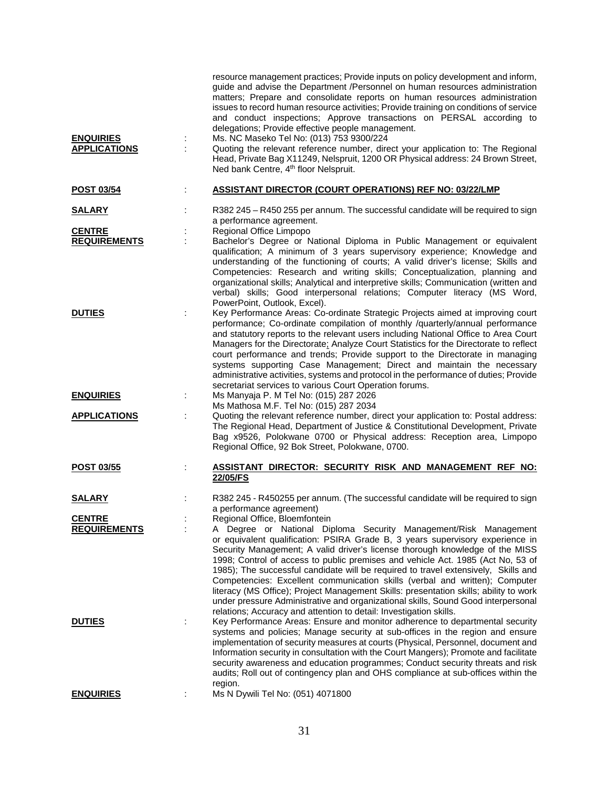| <b>ENQUIRIES</b><br><b>APPLICATIONS</b> | resource management practices; Provide inputs on policy development and inform,<br>guide and advise the Department /Personnel on human resources administration<br>matters; Prepare and consolidate reports on human resources administration<br>issues to record human resource activities; Provide training on conditions of service<br>and conduct inspections; Approve transactions on PERSAL according to<br>delegations; Provide effective people management.<br>Ms. NC Maseko Tel No: (013) 753 9300/224<br>Quoting the relevant reference number, direct your application to: The Regional<br>Head, Private Bag X11249, Nelspruit, 1200 OR Physical address: 24 Brown Street,<br>Ned bank Centre, 4 <sup>th</sup> floor Nelspruit.    |
|-----------------------------------------|-----------------------------------------------------------------------------------------------------------------------------------------------------------------------------------------------------------------------------------------------------------------------------------------------------------------------------------------------------------------------------------------------------------------------------------------------------------------------------------------------------------------------------------------------------------------------------------------------------------------------------------------------------------------------------------------------------------------------------------------------|
| <b>POST 03/54</b>                       | <b>ASSISTANT DIRECTOR (COURT OPERATIONS) REF NO: 03/22/LMP</b>                                                                                                                                                                                                                                                                                                                                                                                                                                                                                                                                                                                                                                                                                |
| <u>SALARY</u>                           | R382 245 - R450 255 per annum. The successful candidate will be required to sign<br>a performance agreement.                                                                                                                                                                                                                                                                                                                                                                                                                                                                                                                                                                                                                                  |
| <b>CENTRE</b>                           | Regional Office Limpopo                                                                                                                                                                                                                                                                                                                                                                                                                                                                                                                                                                                                                                                                                                                       |
| <b>REQUIREMENTS</b>                     | Bachelor's Degree or National Diploma in Public Management or equivalent<br>qualification; A minimum of 3 years supervisory experience; Knowledge and<br>understanding of the functioning of courts; A valid driver's license; Skills and<br>Competencies: Research and writing skills; Conceptualization, planning and<br>organizational skills; Analytical and interpretive skills; Communication (written and<br>verbal) skills; Good interpersonal relations; Computer literacy (MS Word,<br>PowerPoint, Outlook, Excel).                                                                                                                                                                                                                 |
| <b>DUTIES</b>                           | Key Performance Areas: Co-ordinate Strategic Projects aimed at improving court<br>performance; Co-ordinate compilation of monthly /quarterly/annual performance<br>and statutory reports to the relevant users including National Office to Area Court<br>Managers for the Directorate: Analyze Court Statistics for the Directorate to reflect<br>court performance and trends; Provide support to the Directorate in managing<br>systems supporting Case Management; Direct and maintain the necessary<br>administrative activities, systems and protocol in the performance of duties; Provide<br>secretariat services to various Court Operation forums.                                                                                  |
| <b>ENQUIRIES</b><br>÷                   | Ms Manyaja P. M Tel No: (015) 287 2026<br>Ms Mathosa M.F. Tel No: (015) 287 2034                                                                                                                                                                                                                                                                                                                                                                                                                                                                                                                                                                                                                                                              |
| <b>APPLICATIONS</b>                     | Quoting the relevant reference number, direct your application to: Postal address:<br>The Regional Head, Department of Justice & Constitutional Development, Private<br>Bag x9526, Polokwane 0700 or Physical address: Reception area, Limpopo<br>Regional Office, 92 Bok Street, Polokwane, 0700.                                                                                                                                                                                                                                                                                                                                                                                                                                            |
| <b>POST 03/55</b>                       | ASSISTANT DIRECTOR: SECURITY RISK AND MANAGEMENT REF NO:<br>22/05/FS                                                                                                                                                                                                                                                                                                                                                                                                                                                                                                                                                                                                                                                                          |
| <b>SALARY</b>                           | R382 245 - R450255 per annum. (The successful candidate will be required to sign<br>a performance agreement)                                                                                                                                                                                                                                                                                                                                                                                                                                                                                                                                                                                                                                  |
| <b>CENTRE</b>                           | Regional Office, Bloemfontein                                                                                                                                                                                                                                                                                                                                                                                                                                                                                                                                                                                                                                                                                                                 |
| <b>REQUIREMENTS</b>                     | A Degree or National Diploma Security Management/Risk Management<br>or equivalent qualification: PSIRA Grade B, 3 years supervisory experience in<br>Security Management; A valid driver's license thorough knowledge of the MISS<br>1998; Control of access to public premises and vehicle Act. 1985 (Act No, 53 of<br>1985); The successful candidate will be required to travel extensively, Skills and<br>Competencies: Excellent communication skills (verbal and written); Computer<br>literacy (MS Office); Project Management Skills: presentation skills; ability to work<br>under pressure Administrative and organizational skills, Sound Good interpersonal<br>relations; Accuracy and attention to detail: Investigation skills. |
| <b>DUTIES</b><br>÷                      | Key Performance Areas: Ensure and monitor adherence to departmental security<br>systems and policies; Manage security at sub-offices in the region and ensure<br>implementation of security measures at courts (Physical, Personnel, document and<br>Information security in consultation with the Court Mangers); Promote and facilitate<br>security awareness and education programmes; Conduct security threats and risk<br>audits; Roll out of contingency plan and OHS compliance at sub-offices within the<br>region.                                                                                                                                                                                                                   |
| <b>ENQUIRIES</b>                        | Ms N Dywili Tel No: (051) 4071800                                                                                                                                                                                                                                                                                                                                                                                                                                                                                                                                                                                                                                                                                                             |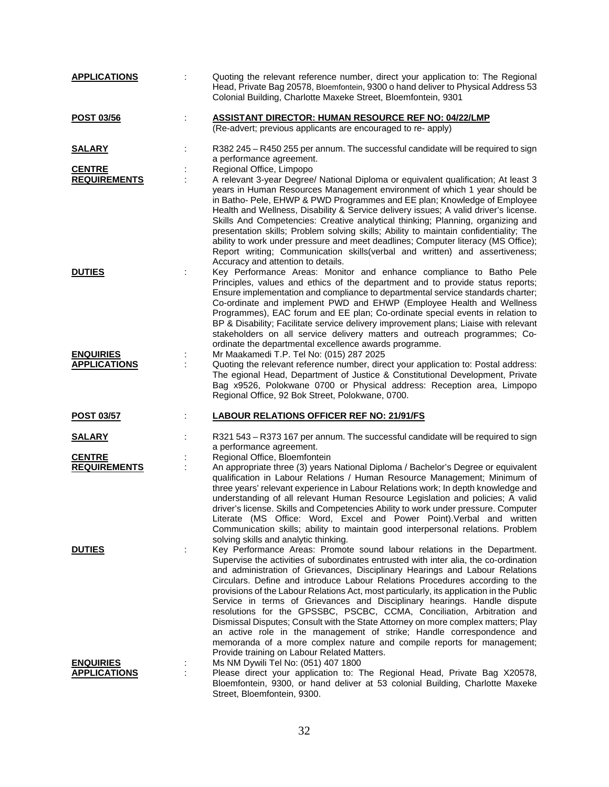| <b>APPLICATIONS</b> | Quoting the relevant reference number, direct your application to: The Regional<br>Head, Private Bag 20578, Bloemfontein, 9300 o hand deliver to Physical Address 53<br>Colonial Building, Charlotte Maxeke Street, Bloemfontein, 9301                                                                                                                                                                                                                                                                                                                                                                                                                                                                                                                                                                                                                                     |
|---------------------|----------------------------------------------------------------------------------------------------------------------------------------------------------------------------------------------------------------------------------------------------------------------------------------------------------------------------------------------------------------------------------------------------------------------------------------------------------------------------------------------------------------------------------------------------------------------------------------------------------------------------------------------------------------------------------------------------------------------------------------------------------------------------------------------------------------------------------------------------------------------------|
| <b>POST 03/56</b>   | <b>ASSISTANT DIRECTOR: HUMAN RESOURCE REF NO: 04/22/LMP</b><br>(Re-advert; previous applicants are encouraged to re- apply)                                                                                                                                                                                                                                                                                                                                                                                                                                                                                                                                                                                                                                                                                                                                                |
| <u>SALARY</u>       | R382 245 - R450 255 per annum. The successful candidate will be required to sign<br>a performance agreement.                                                                                                                                                                                                                                                                                                                                                                                                                                                                                                                                                                                                                                                                                                                                                               |
| <b>CENTRE</b>       | Regional Office, Limpopo                                                                                                                                                                                                                                                                                                                                                                                                                                                                                                                                                                                                                                                                                                                                                                                                                                                   |
| <b>REQUIREMENTS</b> | A relevant 3-year Degree/ National Diploma or equivalent qualification; At least 3<br>years in Human Resources Management environment of which 1 year should be<br>in Batho- Pele, EHWP & PWD Programmes and EE plan; Knowledge of Employee<br>Health and Wellness, Disability & Service delivery issues; A valid driver's license.<br>Skills And Competencies: Creative analytical thinking; Planning, organizing and<br>presentation skills; Problem solving skills; Ability to maintain confidentiality; The<br>ability to work under pressure and meet deadlines; Computer literacy (MS Office);<br>Report writing; Communication skills(verbal and written) and assertiveness;<br>Accuracy and attention to details.                                                                                                                                                  |
| <b>DUTIES</b>       | Key Performance Areas: Monitor and enhance compliance to Batho Pele<br>Principles, values and ethics of the department and to provide status reports;<br>Ensure implementation and compliance to departmental service standards charter;<br>Co-ordinate and implement PWD and EHWP (Employee Health and Wellness<br>Programmes), EAC forum and EE plan; Co-ordinate special events in relation to<br>BP & Disability; Facilitate service delivery improvement plans; Liaise with relevant<br>stakeholders on all service delivery matters and outreach programmes; Co-<br>ordinate the departmental excellence awards programme.                                                                                                                                                                                                                                           |
| <b>ENQUIRIES</b>    | Mr Maakamedi T.P. Tel No: (015) 287 2025                                                                                                                                                                                                                                                                                                                                                                                                                                                                                                                                                                                                                                                                                                                                                                                                                                   |
| <b>APPLICATIONS</b> | Quoting the relevant reference number, direct your application to: Postal address:<br>The egional Head, Department of Justice & Constitutional Development, Private<br>Bag x9526, Polokwane 0700 or Physical address: Reception area, Limpopo<br>Regional Office, 92 Bok Street, Polokwane, 0700.                                                                                                                                                                                                                                                                                                                                                                                                                                                                                                                                                                          |
| <b>POST 03/57</b>   | <b>LABOUR RELATIONS OFFICER REF NO: 21/91/FS</b>                                                                                                                                                                                                                                                                                                                                                                                                                                                                                                                                                                                                                                                                                                                                                                                                                           |
| <u>SALARY</u>       | R321 543 - R373 167 per annum. The successful candidate will be required to sign<br>a performance agreement.                                                                                                                                                                                                                                                                                                                                                                                                                                                                                                                                                                                                                                                                                                                                                               |
| <b>CENTRE</b>       | Regional Office, Bloemfontein                                                                                                                                                                                                                                                                                                                                                                                                                                                                                                                                                                                                                                                                                                                                                                                                                                              |
| <b>REQUIREMENTS</b> | An appropriate three (3) years National Diploma / Bachelor's Degree or equivalent<br>qualification in Labour Relations / Human Resource Management; Minimum of<br>three years' relevant experience in Labour Relations work; In depth knowledge and<br>understanding of all relevant Human Resource Legislation and policies; A valid<br>driver's license. Skills and Competencies Ability to work under pressure. Computer<br>Literate (MS Office: Word, Excel and Power Point). Verbal and written<br>Communication skills; ability to maintain good interpersonal relations. Problem<br>solving skills and analytic thinking.                                                                                                                                                                                                                                           |
| <b>DUTIES</b>       | Key Performance Areas: Promote sound labour relations in the Department.<br>Supervise the activities of subordinates entrusted with inter alia, the co-ordination<br>and administration of Grievances, Disciplinary Hearings and Labour Relations<br>Circulars. Define and introduce Labour Relations Procedures according to the<br>provisions of the Labour Relations Act, most particularly, its application in the Public<br>Service in terms of Grievances and Disciplinary hearings. Handle dispute<br>resolutions for the GPSSBC, PSCBC, CCMA, Conciliation, Arbitration and<br>Dismissal Disputes; Consult with the State Attorney on more complex matters; Play<br>an active role in the management of strike; Handle correspondence and<br>memoranda of a more complex nature and compile reports for management;<br>Provide training on Labour Related Matters. |
| <b>ENQUIRIES</b>    | Ms NM Dywili Tel No: (051) 407 1800                                                                                                                                                                                                                                                                                                                                                                                                                                                                                                                                                                                                                                                                                                                                                                                                                                        |
| <b>APPLICATIONS</b> | Please direct your application to: The Regional Head, Private Bag X20578,<br>Bloemfontein, 9300, or hand deliver at 53 colonial Building, Charlotte Maxeke<br>Street, Bloemfontein, 9300.                                                                                                                                                                                                                                                                                                                                                                                                                                                                                                                                                                                                                                                                                  |

32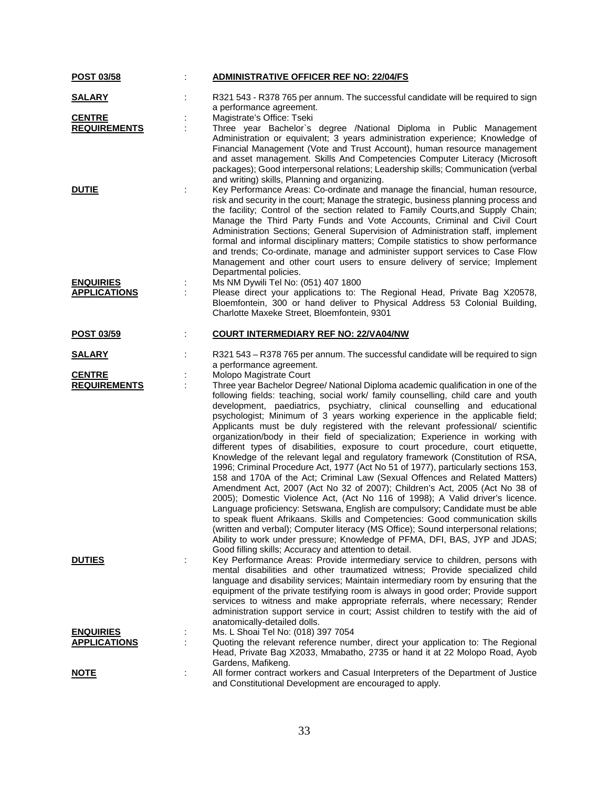| <b>POST 03/58</b>   | <b>ADMINISTRATIVE OFFICER REF NO: 22/04/FS</b>                                                                                                                                                                                                                                                                                                                                                                                                                                                                                                                                                                                                                                                                                                                                                                                                                                                                                                                                                                                                                                                                                                                                                                                                                                                                                                                                                                     |
|---------------------|--------------------------------------------------------------------------------------------------------------------------------------------------------------------------------------------------------------------------------------------------------------------------------------------------------------------------------------------------------------------------------------------------------------------------------------------------------------------------------------------------------------------------------------------------------------------------------------------------------------------------------------------------------------------------------------------------------------------------------------------------------------------------------------------------------------------------------------------------------------------------------------------------------------------------------------------------------------------------------------------------------------------------------------------------------------------------------------------------------------------------------------------------------------------------------------------------------------------------------------------------------------------------------------------------------------------------------------------------------------------------------------------------------------------|
| <b>SALARY</b>       | R321 543 - R378 765 per annum. The successful candidate will be required to sign<br>a performance agreement.                                                                                                                                                                                                                                                                                                                                                                                                                                                                                                                                                                                                                                                                                                                                                                                                                                                                                                                                                                                                                                                                                                                                                                                                                                                                                                       |
| <b>CENTRE</b>       | Magistrate's Office: Tseki                                                                                                                                                                                                                                                                                                                                                                                                                                                                                                                                                                                                                                                                                                                                                                                                                                                                                                                                                                                                                                                                                                                                                                                                                                                                                                                                                                                         |
| <b>REQUIREMENTS</b> | Three year Bachelor's degree /National Diploma in Public Management<br>Administration or equivalent; 3 years administration experience; Knowledge of<br>Financial Management (Vote and Trust Account), human resource management<br>and asset management. Skills And Competencies Computer Literacy (Microsoft<br>packages); Good interpersonal relations; Leadership skills; Communication (verbal<br>and writing) skills, Planning and organizing.                                                                                                                                                                                                                                                                                                                                                                                                                                                                                                                                                                                                                                                                                                                                                                                                                                                                                                                                                               |
| <b>DUTIE</b>        | Key Performance Areas: Co-ordinate and manage the financial, human resource,<br>risk and security in the court; Manage the strategic, business planning process and<br>the facility; Control of the section related to Family Courts, and Supply Chain;<br>Manage the Third Party Funds and Vote Accounts, Criminal and Civil Court<br>Administration Sections; General Supervision of Administration staff, implement<br>formal and informal disciplinary matters; Compile statistics to show performance<br>and trends; Co-ordinate, manage and administer support services to Case Flow<br>Management and other court users to ensure delivery of service; Implement<br>Departmental policies.                                                                                                                                                                                                                                                                                                                                                                                                                                                                                                                                                                                                                                                                                                                  |
| <b>ENQUIRIES</b>    | Ms NM Dywili Tel No: (051) 407 1800                                                                                                                                                                                                                                                                                                                                                                                                                                                                                                                                                                                                                                                                                                                                                                                                                                                                                                                                                                                                                                                                                                                                                                                                                                                                                                                                                                                |
| <b>APPLICATIONS</b> | Please direct your applications to: The Regional Head, Private Bag X20578,<br>Bloemfontein, 300 or hand deliver to Physical Address 53 Colonial Building,<br>Charlotte Maxeke Street, Bloemfontein, 9301                                                                                                                                                                                                                                                                                                                                                                                                                                                                                                                                                                                                                                                                                                                                                                                                                                                                                                                                                                                                                                                                                                                                                                                                           |
| <b>POST 03/59</b>   | <b>COURT INTERMEDIARY REF NO: 22/VA04/NW</b>                                                                                                                                                                                                                                                                                                                                                                                                                                                                                                                                                                                                                                                                                                                                                                                                                                                                                                                                                                                                                                                                                                                                                                                                                                                                                                                                                                       |
| <u>SALARY</u>       | R321 543 - R378 765 per annum. The successful candidate will be required to sign<br>a performance agreement.                                                                                                                                                                                                                                                                                                                                                                                                                                                                                                                                                                                                                                                                                                                                                                                                                                                                                                                                                                                                                                                                                                                                                                                                                                                                                                       |
| <b>CENTRE</b>       | Molopo Magistrate Court                                                                                                                                                                                                                                                                                                                                                                                                                                                                                                                                                                                                                                                                                                                                                                                                                                                                                                                                                                                                                                                                                                                                                                                                                                                                                                                                                                                            |
| <b>REQUIREMENTS</b> | Three year Bachelor Degree/ National Diploma academic qualification in one of the<br>following fields: teaching, social work/ family counselling, child care and youth<br>development, paediatrics, psychiatry, clinical counselling and educational<br>psychologist; Minimum of 3 years working experience in the applicable field;<br>Applicants must be duly registered with the relevant professional/ scientific<br>organization/body in their field of specialization; Experience in working with<br>different types of disabilities, exposure to court procedure, court etiquette,<br>Knowledge of the relevant legal and regulatory framework (Constitution of RSA,<br>1996; Criminal Procedure Act, 1977 (Act No 51 of 1977), particularly sections 153,<br>158 and 170A of the Act; Criminal Law (Sexual Offences and Related Matters)<br>Amendment Act, 2007 (Act No 32 of 2007); Children's Act, 2005 (Act No 38 of<br>2005); Domestic Violence Act, (Act No 116 of 1998); A Valid driver's licence.<br>Language proficiency: Setswana, English are compulsory; Candidate must be able<br>to speak fluent Afrikaans. Skills and Competencies: Good communication skills<br>(written and verbal); Computer literacy (MS Office); Sound interpersonal relations;<br>Ability to work under pressure; Knowledge of PFMA, DFI, BAS, JYP and JDAS;<br>Good filling skills; Accuracy and attention to detail. |
| <b>DUTIES</b>       | Key Performance Areas: Provide intermediary service to children, persons with<br>mental disabilities and other traumatized witness; Provide specialized child<br>language and disability services; Maintain intermediary room by ensuring that the<br>equipment of the private testifying room is always in good order; Provide support<br>services to witness and make appropriate referrals, where necessary; Render<br>administration support service in court; Assist children to testify with the aid of<br>anatomically-detailed dolls.                                                                                                                                                                                                                                                                                                                                                                                                                                                                                                                                                                                                                                                                                                                                                                                                                                                                      |
| <b>ENQUIRIES</b>    | Ms. L Shoai Tel No: (018) 397 7054                                                                                                                                                                                                                                                                                                                                                                                                                                                                                                                                                                                                                                                                                                                                                                                                                                                                                                                                                                                                                                                                                                                                                                                                                                                                                                                                                                                 |
| <b>APPLICATIONS</b> | Quoting the relevant reference number, direct your application to: The Regional<br>Head, Private Bag X2033, Mmabatho, 2735 or hand it at 22 Molopo Road, Ayob<br>Gardens, Mafikeng.                                                                                                                                                                                                                                                                                                                                                                                                                                                                                                                                                                                                                                                                                                                                                                                                                                                                                                                                                                                                                                                                                                                                                                                                                                |
| <u>NOTE</u>         | All former contract workers and Casual Interpreters of the Department of Justice<br>and Constitutional Development are encouraged to apply.                                                                                                                                                                                                                                                                                                                                                                                                                                                                                                                                                                                                                                                                                                                                                                                                                                                                                                                                                                                                                                                                                                                                                                                                                                                                        |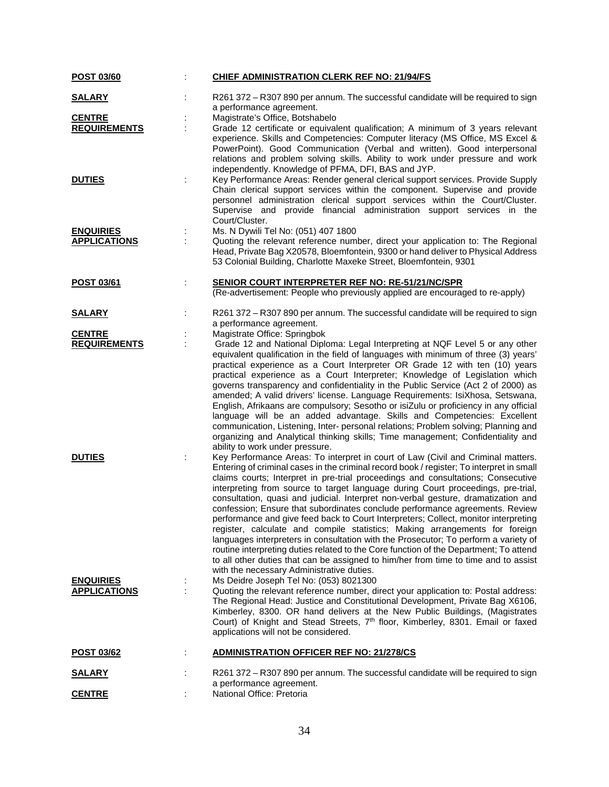| POST 03/60          |   | <b>CHIEF ADMINISTRATION CLERK REF NO: 21/94/FS</b>                                                                                                                                                                                                                                                                                                                                                                                                                                                                                                                                                                                                                                                                                                                                                                                                                                                                                                                                                                  |
|---------------------|---|---------------------------------------------------------------------------------------------------------------------------------------------------------------------------------------------------------------------------------------------------------------------------------------------------------------------------------------------------------------------------------------------------------------------------------------------------------------------------------------------------------------------------------------------------------------------------------------------------------------------------------------------------------------------------------------------------------------------------------------------------------------------------------------------------------------------------------------------------------------------------------------------------------------------------------------------------------------------------------------------------------------------|
| <b>SALARY</b>       |   | R261 372 – R307 890 per annum. The successful candidate will be required to sign<br>a performance agreement.                                                                                                                                                                                                                                                                                                                                                                                                                                                                                                                                                                                                                                                                                                                                                                                                                                                                                                        |
| <b>CENTRE</b>       |   | Magistrate's Office, Botshabelo                                                                                                                                                                                                                                                                                                                                                                                                                                                                                                                                                                                                                                                                                                                                                                                                                                                                                                                                                                                     |
| <b>REQUIREMENTS</b> |   | Grade 12 certificate or equivalent qualification; A minimum of 3 years relevant<br>experience. Skills and Competencies: Computer literacy (MS Office, MS Excel &<br>PowerPoint). Good Communication (Verbal and written). Good interpersonal<br>relations and problem solving skills. Ability to work under pressure and work<br>independently. Knowledge of PFMA, DFI, BAS and JYP.                                                                                                                                                                                                                                                                                                                                                                                                                                                                                                                                                                                                                                |
| <b>DUTIES</b>       |   | Key Performance Areas: Render general clerical support services. Provide Supply<br>Chain clerical support services within the component. Supervise and provide<br>personnel administration clerical support services within the Court/Cluster.<br>Supervise and provide financial administration support services in the<br>Court/Cluster.                                                                                                                                                                                                                                                                                                                                                                                                                                                                                                                                                                                                                                                                          |
| <b>ENQUIRIES</b>    | ÷ | Ms. N Dywili Tel No: (051) 407 1800                                                                                                                                                                                                                                                                                                                                                                                                                                                                                                                                                                                                                                                                                                                                                                                                                                                                                                                                                                                 |
| <b>APPLICATIONS</b> |   | Quoting the relevant reference number, direct your application to: The Regional<br>Head, Private Bag X20578, Bloemfontein, 9300 or hand deliver to Physical Address<br>53 Colonial Building, Charlotte Maxeke Street, Bloemfontein, 9301                                                                                                                                                                                                                                                                                                                                                                                                                                                                                                                                                                                                                                                                                                                                                                            |
| POST 03/61          |   | <b>SENIOR COURT INTERPRETER REF NO: RE-51/21/NC/SPR</b>                                                                                                                                                                                                                                                                                                                                                                                                                                                                                                                                                                                                                                                                                                                                                                                                                                                                                                                                                             |
|                     |   | (Re-advertisement: People who previously applied are encouraged to re-apply)                                                                                                                                                                                                                                                                                                                                                                                                                                                                                                                                                                                                                                                                                                                                                                                                                                                                                                                                        |
| <b>SALARY</b>       |   | R261 372 - R307 890 per annum. The successful candidate will be required to sign<br>a performance agreement.                                                                                                                                                                                                                                                                                                                                                                                                                                                                                                                                                                                                                                                                                                                                                                                                                                                                                                        |
| <b>CENTRE</b>       |   | Magistrate Office: Springbok                                                                                                                                                                                                                                                                                                                                                                                                                                                                                                                                                                                                                                                                                                                                                                                                                                                                                                                                                                                        |
| <b>REQUIREMENTS</b> |   | Grade 12 and National Diploma: Legal Interpreting at NQF Level 5 or any other                                                                                                                                                                                                                                                                                                                                                                                                                                                                                                                                                                                                                                                                                                                                                                                                                                                                                                                                       |
|                     |   | equivalent qualification in the field of languages with minimum of three (3) years'<br>practical experience as a Court Interpreter OR Grade 12 with ten (10) years<br>practical experience as a Court Interpreter; Knowledge of Legislation which<br>governs transparency and confidentiality in the Public Service (Act 2 of 2000) as<br>amended; A valid drivers' license. Language Requirements: IsiXhosa, Setswana,<br>English, Afrikaans are compulsory; Sesotho or isiZulu or proficiency in any official<br>language will be an added advantage. Skills and Competencies: Excellent<br>communication, Listening, Inter- personal relations; Problem solving; Planning and<br>organizing and Analytical thinking skills; Time management; Confidentiality and<br>ability to work under pressure.                                                                                                                                                                                                              |
| <b>DUTIES</b>       |   | Key Performance Areas: To interpret in court of Law (Civil and Criminal matters.<br>Entering of criminal cases in the criminal record book / register; To interpret in small<br>claims courts; Interpret in pre-trial proceedings and consultations; Consecutive<br>interpreting from source to target language during Court proceedings, pre-trial,<br>consultation, quasi and judicial. Interpret non-verbal gesture, dramatization and<br>confession; Ensure that subordinates conclude performance agreements. Review<br>performance and give feed back to Court Interpreters; Collect, monitor interpreting<br>register, calculate and compile statistics; Making arrangements for foreign<br>languages interpreters in consultation with the Prosecutor; To perform a variety of<br>routine interpreting duties related to the Core function of the Department; To attend<br>to all other duties that can be assigned to him/her from time to time and to assist<br>with the necessary Administrative duties. |
| <b>ENQUIRIES</b>    |   | Ms Deidre Joseph Tel No: (053) 8021300                                                                                                                                                                                                                                                                                                                                                                                                                                                                                                                                                                                                                                                                                                                                                                                                                                                                                                                                                                              |
| <b>APPLICATIONS</b> |   | Quoting the relevant reference number, direct your application to: Postal address:<br>The Regional Head: Justice and Constitutional Development, Private Bag X6106,<br>Kimberley, 8300. OR hand delivers at the New Public Buildings, (Magistrates<br>Court) of Knight and Stead Streets, 7 <sup>th</sup> floor, Kimberley, 8301. Email or faxed<br>applications will not be considered.                                                                                                                                                                                                                                                                                                                                                                                                                                                                                                                                                                                                                            |
| POST 03/62          |   | <b>ADMINISTRATION OFFICER REF NO: 21/278/CS</b>                                                                                                                                                                                                                                                                                                                                                                                                                                                                                                                                                                                                                                                                                                                                                                                                                                                                                                                                                                     |
| <u>SALARY</u>       |   | R261 372 - R307 890 per annum. The successful candidate will be required to sign<br>a performance agreement.                                                                                                                                                                                                                                                                                                                                                                                                                                                                                                                                                                                                                                                                                                                                                                                                                                                                                                        |
| <b>CENTRE</b>       |   | National Office: Pretoria                                                                                                                                                                                                                                                                                                                                                                                                                                                                                                                                                                                                                                                                                                                                                                                                                                                                                                                                                                                           |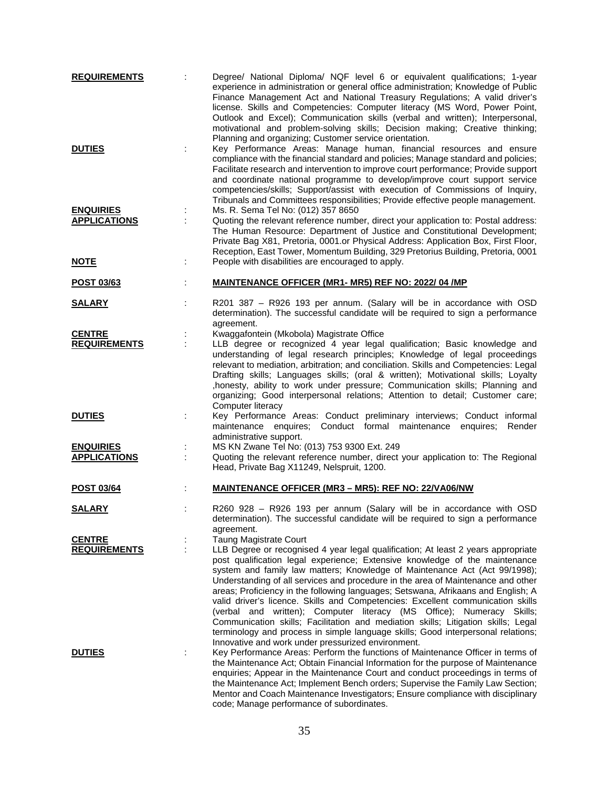| <b>REQUIREMENTS</b>                                    | Degree/ National Diploma/ NQF level 6 or equivalent qualifications; 1-year<br>experience in administration or general office administration; Knowledge of Public<br>Finance Management Act and National Treasury Regulations; A valid driver's<br>license. Skills and Competencies: Computer literacy (MS Word, Power Point,<br>Outlook and Excel); Communication skills (verbal and written); Interpersonal,<br>motivational and problem-solving skills; Decision making; Creative thinking;<br>Planning and organizing; Customer service orientation.                                                                                                                                                                                                                                                                                             |
|--------------------------------------------------------|-----------------------------------------------------------------------------------------------------------------------------------------------------------------------------------------------------------------------------------------------------------------------------------------------------------------------------------------------------------------------------------------------------------------------------------------------------------------------------------------------------------------------------------------------------------------------------------------------------------------------------------------------------------------------------------------------------------------------------------------------------------------------------------------------------------------------------------------------------|
| <b>DUTIES</b>                                          | Key Performance Areas: Manage human, financial resources and ensure<br>compliance with the financial standard and policies; Manage standard and policies;<br>Facilitate research and intervention to improve court performance; Provide support<br>and coordinate national programme to develop/improve court support service<br>competencies/skills; Support/assist with execution of Commissions of Inquiry,<br>Tribunals and Committees responsibilities; Provide effective people management.                                                                                                                                                                                                                                                                                                                                                   |
| <b>ENQUIRIES</b><br><b>APPLICATIONS</b><br><u>NOTE</u> | Ms. R. Sema Tel No: (012) 357 8650<br>Quoting the relevant reference number, direct your application to: Postal address:<br>The Human Resource: Department of Justice and Constitutional Development;<br>Private Bag X81, Pretoria, 0001.or Physical Address: Application Box, First Floor,<br>Reception, East Tower, Momentum Building, 329 Pretorius Building, Pretoria, 0001<br>People with disabilities are encouraged to apply.                                                                                                                                                                                                                                                                                                                                                                                                                |
| <b>POST 03/63</b>                                      | MAINTENANCE OFFICER (MR1- MR5) REF NO: 2022/04 /MP                                                                                                                                                                                                                                                                                                                                                                                                                                                                                                                                                                                                                                                                                                                                                                                                  |
| <b>SALARY</b>                                          | R201 387 - R926 193 per annum. (Salary will be in accordance with OSD<br>determination). The successful candidate will be required to sign a performance<br>agreement.                                                                                                                                                                                                                                                                                                                                                                                                                                                                                                                                                                                                                                                                              |
| <b>CENTRE</b><br><b>REQUIREMENTS</b>                   | Kwaggafontein (Mkobola) Magistrate Office<br>LLB degree or recognized 4 year legal qualification; Basic knowledge and<br>understanding of legal research principles; Knowledge of legal proceedings<br>relevant to mediation, arbitration; and conciliation. Skills and Competencies: Legal<br>Drafting skills; Languages skills; (oral & written); Motivational skills; Loyalty<br>, honesty, ability to work under pressure; Communication skills; Planning and<br>organizing; Good interpersonal relations; Attention to detail; Customer care;<br>Computer literacy                                                                                                                                                                                                                                                                             |
| <b>DUTIES</b>                                          | Key Performance Areas: Conduct preliminary interviews; Conduct informal<br>maintenance enquires; Conduct formal maintenance enquires;<br>Render<br>administrative support.                                                                                                                                                                                                                                                                                                                                                                                                                                                                                                                                                                                                                                                                          |
| <b>ENQUIRIES</b><br><b>APPLICATIONS</b>                | MS KN Zwane Tel No: (013) 753 9300 Ext. 249<br>Quoting the relevant reference number, direct your application to: The Regional<br>Head, Private Bag X11249, Nelspruit, 1200.                                                                                                                                                                                                                                                                                                                                                                                                                                                                                                                                                                                                                                                                        |
| <b>POST 03/64</b>                                      | <b>MAINTENANCE OFFICER (MR3 - MR5): REF NO: 22/VA06/NW</b>                                                                                                                                                                                                                                                                                                                                                                                                                                                                                                                                                                                                                                                                                                                                                                                          |
| <b>SALARY</b>                                          | R260 928 - R926 193 per annum (Salary will be in accordance with OSD<br>determination). The successful candidate will be required to sign a performance<br>agreement.                                                                                                                                                                                                                                                                                                                                                                                                                                                                                                                                                                                                                                                                               |
| <b>CENTRE</b><br><b>REQUIREMENTS</b>                   | <b>Taung Magistrate Court</b><br>LLB Degree or recognised 4 year legal qualification; At least 2 years appropriate<br>post qualification legal experience; Extensive knowledge of the maintenance<br>system and family law matters; Knowledge of Maintenance Act (Act 99/1998);<br>Understanding of all services and procedure in the area of Maintenance and other<br>areas; Proficiency in the following languages; Setswana, Afrikaans and English; A<br>valid driver's licence. Skills and Competencies: Excellent communication skills<br>(verbal and written); Computer literacy (MS Office); Numeracy Skills;<br>Communication skills; Facilitation and mediation skills; Litigation skills; Legal<br>terminology and process in simple language skills; Good interpersonal relations;<br>Innovative and work under pressurized environment. |
| <b>DUTIES</b>                                          | Key Performance Areas: Perform the functions of Maintenance Officer in terms of<br>the Maintenance Act; Obtain Financial Information for the purpose of Maintenance<br>enquiries; Appear in the Maintenance Court and conduct proceedings in terms of<br>the Maintenance Act; Implement Bench orders; Supervise the Family Law Section;<br>Mentor and Coach Maintenance Investigators; Ensure compliance with disciplinary<br>code; Manage performance of subordinates.                                                                                                                                                                                                                                                                                                                                                                             |